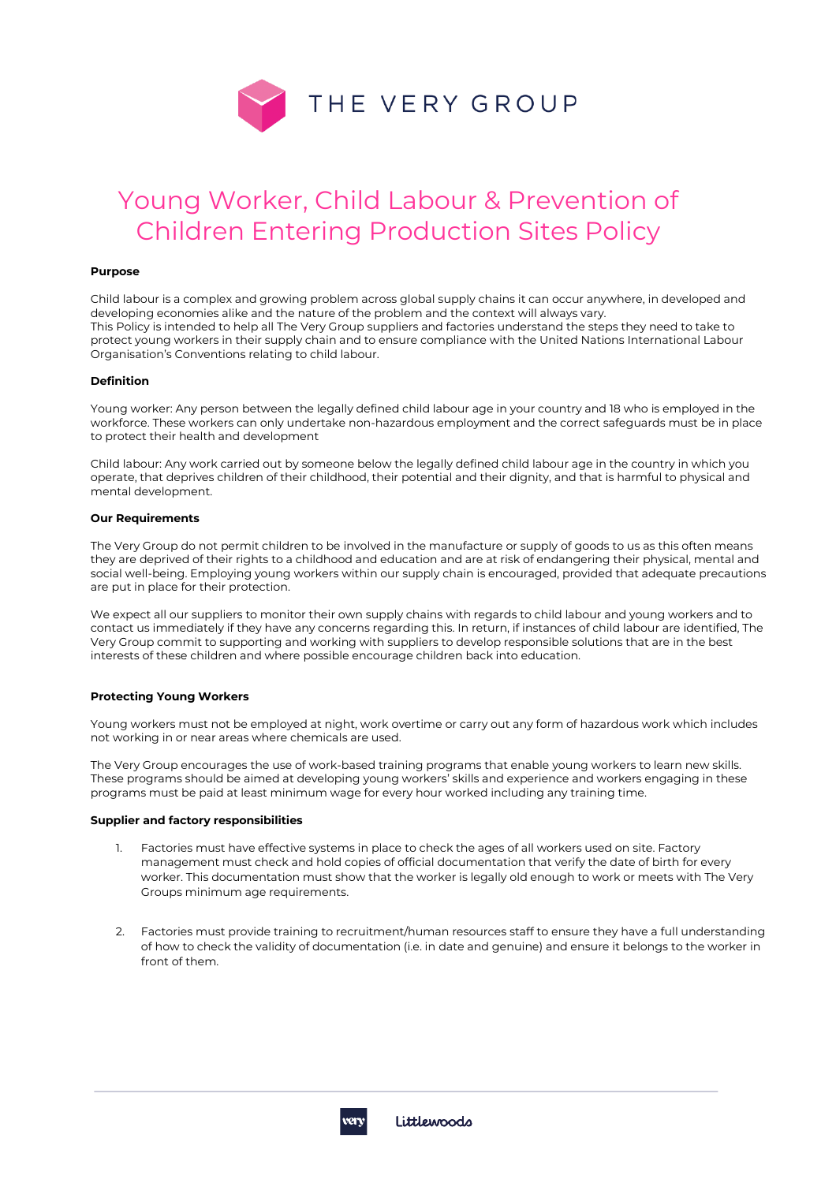

# Young Worker, Child Labour & Prevention of Children Entering Production Sites Policy

## **Purpose**

Child labour is a complex and growing problem across global supply chains it can occur anywhere, in developed and developing economies alike and the nature of the problem and the context will always vary. This Policy is intended to help all The Very Group suppliers and factories understand the steps they need to take to protect young workers in their supply chain and to ensure compliance with the United Nations International Labour Organisation's Conventions relating to child labour.

#### **Definition**

Young worker: Any person between the legally defined child labour age in your country and 18 who is employed in the workforce. These workers can only undertake non-hazardous employment and the correct safeguards must be in place to protect their health and development

Child labour: Any work carried out by someone below the legally defined child labour age in the country in which you operate, that deprives children of their childhood, their potential and their dignity, and that is harmful to physical and mental development.

## **Our Requirements**

The Very Group do not permit children to be involved in the manufacture or supply of goods to us as this often means they are deprived of their rights to a childhood and education and are at risk of endangering their physical, mental and social well-being. Employing young workers within our supply chain is encouraged, provided that adequate precautions are put in place for their protection.

We expect all our suppliers to monitor their own supply chains with regards to child labour and young workers and to contact us immediately if they have any concerns regarding this. In return, if instances of child labour are identified, The Very Group commit to supporting and working with suppliers to develop responsible solutions that are in the best interests of these children and where possible encourage children back into education.

#### **Protecting Young Workers**

Young workers must not be employed at night, work overtime or carry out any form of hazardous work which includes not working in or near areas where chemicals are used.

The Very Group encourages the use of work-based training programs that enable young workers to learn new skills. These programs should be aimed at developing young workers' skills and experience and workers engaging in these programs must be paid at least minimum wage for every hour worked including any training time.

## **Supplier and factory responsibilities**

- 1. Factories must have effective systems in place to check the ages of all workers used on site. Factory management must check and hold copies of official documentation that verify the date of birth for every worker. This documentation must show that the worker is legally old enough to work or meets with The Very Groups minimum age requirements.
- 2. Factories must provide training to recruitment/human resources staff to ensure they have a full understanding of how to check the validity of documentation (i.e. in date and genuine) and ensure it belongs to the worker in front of them.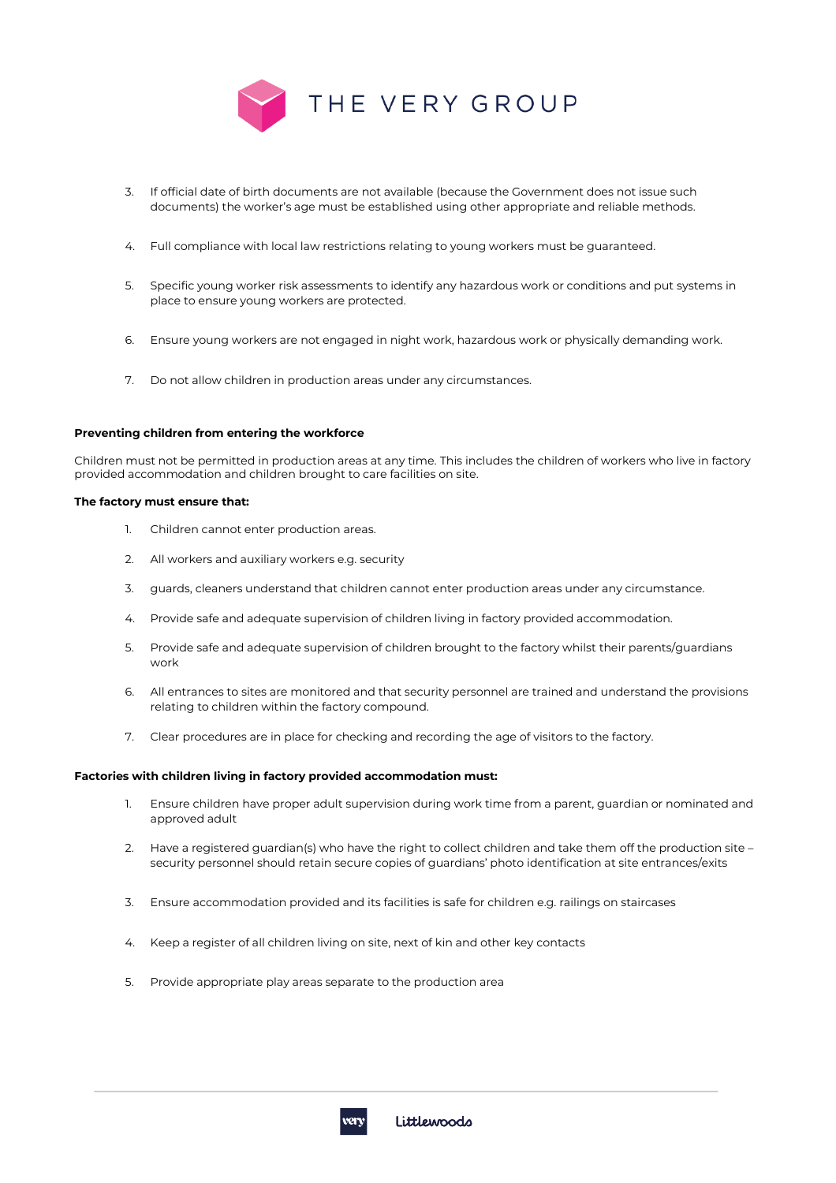

- 3. If official date of birth documents are not available (because the Government does not issue such documents) the worker's age must be established using other appropriate and reliable methods.
- 4. Full compliance with local law restrictions relating to young workers must be guaranteed.
- 5. Specific young worker risk assessments to identify any hazardous work or conditions and put systems in place to ensure young workers are protected.
- 6. Ensure young workers are not engaged in night work, hazardous work or physically demanding work.
- 7. Do not allow children in production areas under any circumstances.

## **Preventing children from entering the workforce**

Children must not be permitted in production areas at any time. This includes the children of workers who live in factory provided accommodation and children brought to care facilities on site.

## **The factory must ensure that:**

- 1. Children cannot enter production areas.
- 2. All workers and auxiliary workers e.g. security
- 3. guards, cleaners understand that children cannot enter production areas under any circumstance.
- 4. Provide safe and adequate supervision of children living in factory provided accommodation.
- 5. Provide safe and adequate supervision of children brought to the factory whilst their parents/guardians work
- 6. All entrances to sites are monitored and that security personnel are trained and understand the provisions relating to children within the factory compound.
- 7. Clear procedures are in place for checking and recording the age of visitors to the factory.

## **Factories with children living in factory provided accommodation must:**

- 1. Ensure children have proper adult supervision during work time from a parent, guardian or nominated and approved adult
- 2. Have a registered guardian(s) who have the right to collect children and take them off the production site security personnel should retain secure copies of guardians' photo identification at site entrances/exits
- 3. Ensure accommodation provided and its facilities is safe for children e.g. railings on staircases
- 4. Keep a register of all children living on site, next of kin and other key contacts
- 5. Provide appropriate play areas separate to the production area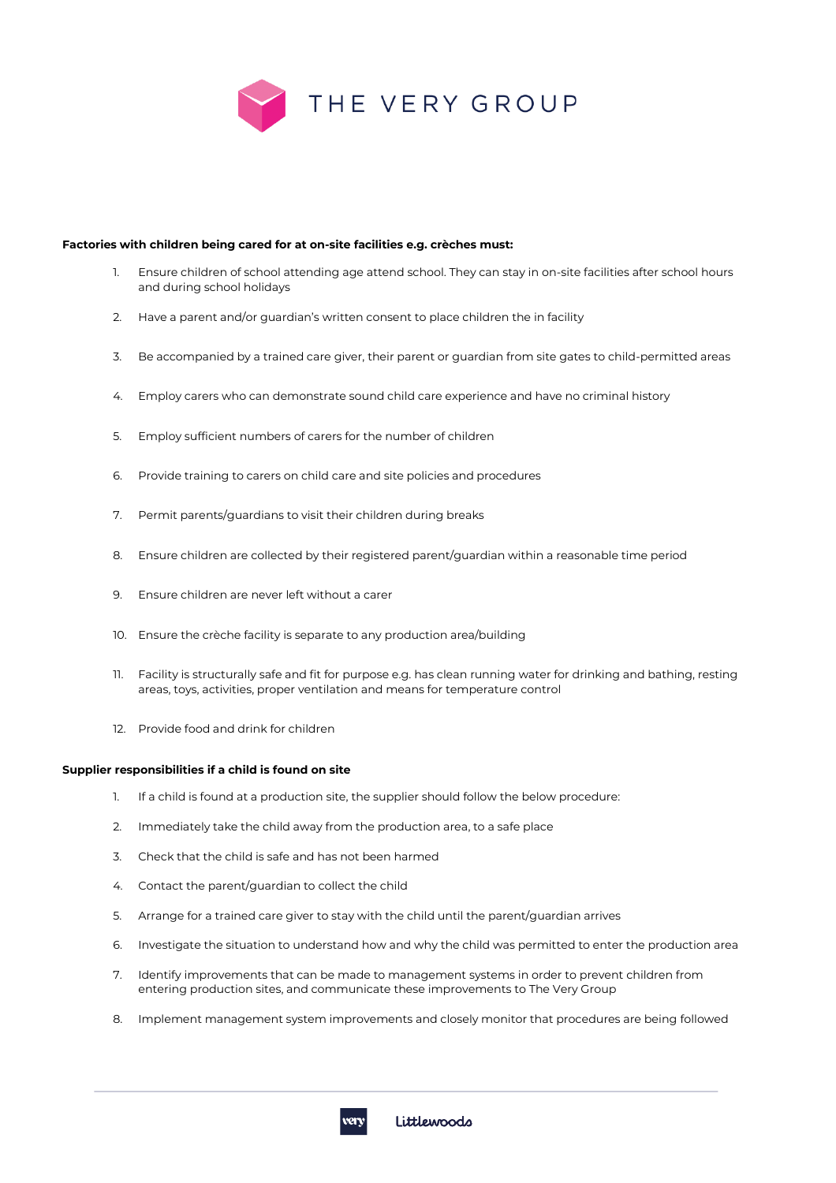

## **Factories with children being cared for at on-site facilities e.g. crèches must:**

- 1. Ensure children of school attending age attend school. They can stay in on-site facilities after school hours and during school holidays
- 2. Have a parent and/or guardian's written consent to place children the in facility
- 3. Be accompanied by a trained care giver, their parent or guardian from site gates to child-permitted areas
- 4. Employ carers who can demonstrate sound child care experience and have no criminal history
- 5. Employ sufficient numbers of carers for the number of children
- 6. Provide training to carers on child care and site policies and procedures
- 7. Permit parents/guardians to visit their children during breaks
- 8. Ensure children are collected by their registered parent/guardian within a reasonable time period
- 9. Ensure children are never left without a carer
- 10. Ensure the crèche facility is separate to any production area/building
- 11. Facility is structurally safe and fit for purpose e.g. has clean running water for drinking and bathing, resting areas, toys, activities, proper ventilation and means for temperature control
- 12. Provide food and drink for children

#### **Supplier responsibilities if a child is found on site**

- 1. If a child is found at a production site, the supplier should follow the below procedure:
- 2. Immediately take the child away from the production area, to a safe place
- 3. Check that the child is safe and has not been harmed
- 4. Contact the parent/guardian to collect the child
- 5. Arrange for a trained care giver to stay with the child until the parent/guardian arrives
- 6. Investigate the situation to understand how and why the child was permitted to enter the production area
- 7. Identify improvements that can be made to management systems in order to prevent children from entering production sites, and communicate these improvements to The Very Group
- 8. Implement management system improvements and closely monitor that procedures are being followed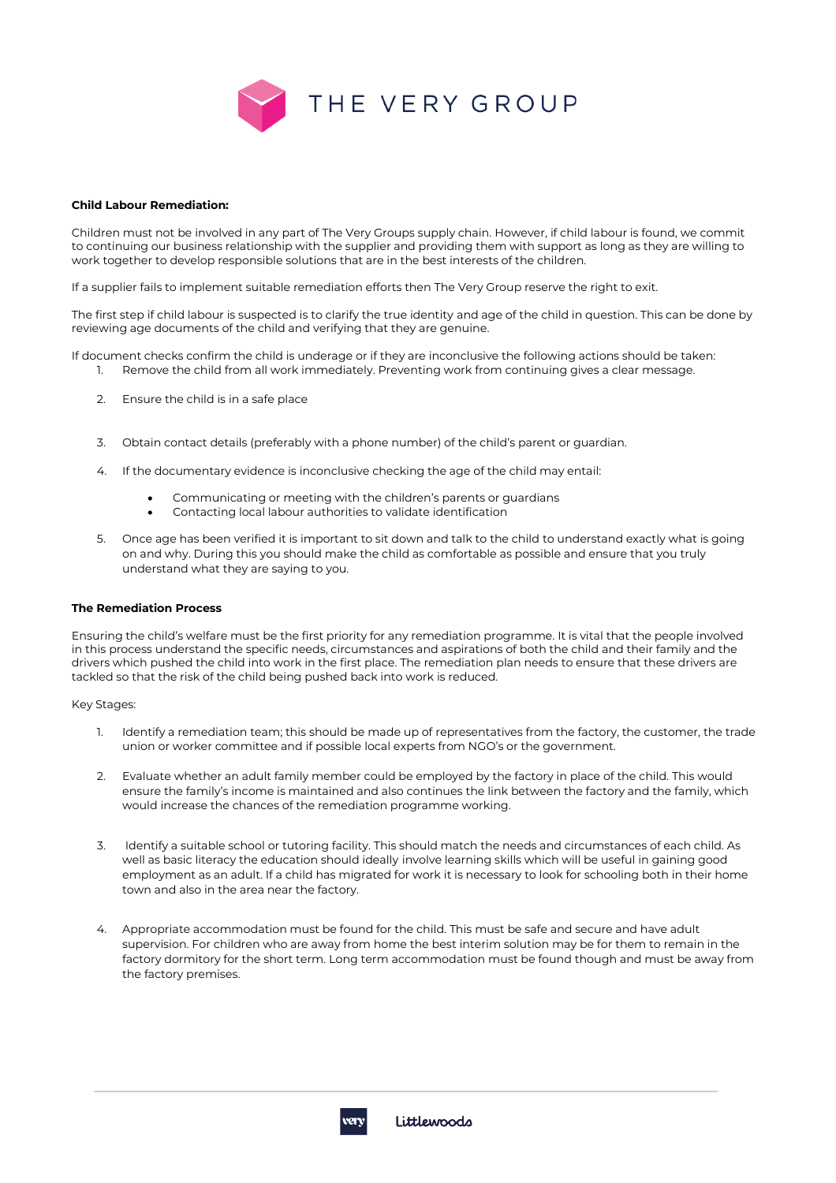

#### **Child Labour Remediation:**

Children must not be involved in any part of The Very Groups supply chain. However, if child labour is found, we commit to continuing our business relationship with the supplier and providing them with support as long as they are willing to work together to develop responsible solutions that are in the best interests of the children.

If a supplier fails to implement suitable remediation efforts then The Very Group reserve the right to exit.

The first step if child labour is suspected is to clarify the true identity and age of the child in question. This can be done by reviewing age documents of the child and verifying that they are genuine.

If document checks confirm the child is underage or if they are inconclusive the following actions should be taken:

- 1. Remove the child from all work immediately. Preventing work from continuing gives a clear message.
- 2. Ensure the child is in a safe place
- 3. Obtain contact details (preferably with a phone number) of the child's parent or guardian.
- 4. If the documentary evidence is inconclusive checking the age of the child may entail:
	- Communicating or meeting with the children's parents or guardians
	- Contacting local labour authorities to validate identification
- 5. Once age has been verified it is important to sit down and talk to the child to understand exactly what is going on and why. During this you should make the child as comfortable as possible and ensure that you truly understand what they are saying to you.

## **The Remediation Process**

Ensuring the child's welfare must be the first priority for any remediation programme. It is vital that the people involved in this process understand the specific needs, circumstances and aspirations of both the child and their family and the drivers which pushed the child into work in the first place. The remediation plan needs to ensure that these drivers are tackled so that the risk of the child being pushed back into work is reduced.

Key Stages:

- 1. Identify a remediation team; this should be made up of representatives from the factory, the customer, the trade union or worker committee and if possible local experts from NGO's or the government.
- 2. Evaluate whether an adult family member could be employed by the factory in place of the child. This would ensure the family's income is maintained and also continues the link between the factory and the family, which would increase the chances of the remediation programme working.
- 3. Identify a suitable school or tutoring facility. This should match the needs and circumstances of each child. As well as basic literacy the education should ideally involve learning skills which will be useful in gaining good employment as an adult. If a child has migrated for work it is necessary to look for schooling both in their home town and also in the area near the factory.
- 4. Appropriate accommodation must be found for the child. This must be safe and secure and have adult supervision. For children who are away from home the best interim solution may be for them to remain in the factory dormitory for the short term. Long term accommodation must be found though and must be away from the factory premises.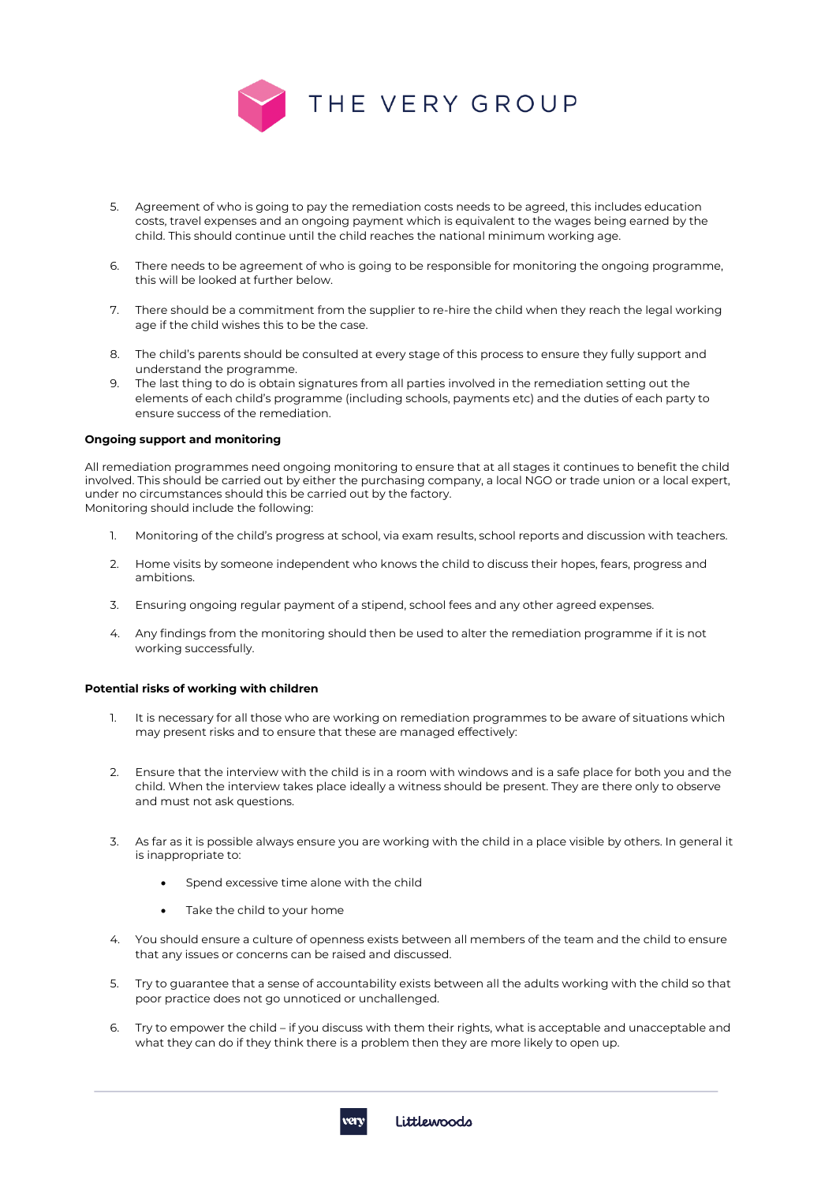

- 5. Agreement of who is going to pay the remediation costs needs to be agreed, this includes education costs, travel expenses and an ongoing payment which is equivalent to the wages being earned by the child. This should continue until the child reaches the national minimum working age.
- 6. There needs to be agreement of who is going to be responsible for monitoring the ongoing programme, this will be looked at further below.
- 7. There should be a commitment from the supplier to re-hire the child when they reach the legal working age if the child wishes this to be the case.
- 8. The child's parents should be consulted at every stage of this process to ensure they fully support and understand the programme.
- 9. The last thing to do is obtain signatures from all parties involved in the remediation setting out the elements of each child's programme (including schools, payments etc) and the duties of each party to ensure success of the remediation.

## **Ongoing support and monitoring**

All remediation programmes need ongoing monitoring to ensure that at all stages it continues to benefit the child involved. This should be carried out by either the purchasing company, a local NGO or trade union or a local expert, under no circumstances should this be carried out by the factory. Monitoring should include the following:

- 1. Monitoring of the child's progress at school, via exam results, school reports and discussion with teachers.
- 2. Home visits by someone independent who knows the child to discuss their hopes, fears, progress and ambitions.
- 3. Ensuring ongoing regular payment of a stipend, school fees and any other agreed expenses.
- 4. Any findings from the monitoring should then be used to alter the remediation programme if it is not working successfully.

#### **Potential risks of working with children**

- It is necessary for all those who are working on remediation programmes to be aware of situations which may present risks and to ensure that these are managed effectively:
- 2. Ensure that the interview with the child is in a room with windows and is a safe place for both you and the child. When the interview takes place ideally a witness should be present. They are there only to observe and must not ask questions.
- 3. As far as it is possible always ensure you are working with the child in a place visible by others. In general it is inappropriate to:
	- Spend excessive time alone with the child
	- Take the child to your home
- 4. You should ensure a culture of openness exists between all members of the team and the child to ensure that any issues or concerns can be raised and discussed.
- 5. Try to guarantee that a sense of accountability exists between all the adults working with the child so that poor practice does not go unnoticed or unchallenged.
- 6. Try to empower the child if you discuss with them their rights, what is acceptable and unacceptable and what they can do if they think there is a problem then they are more likely to open up.